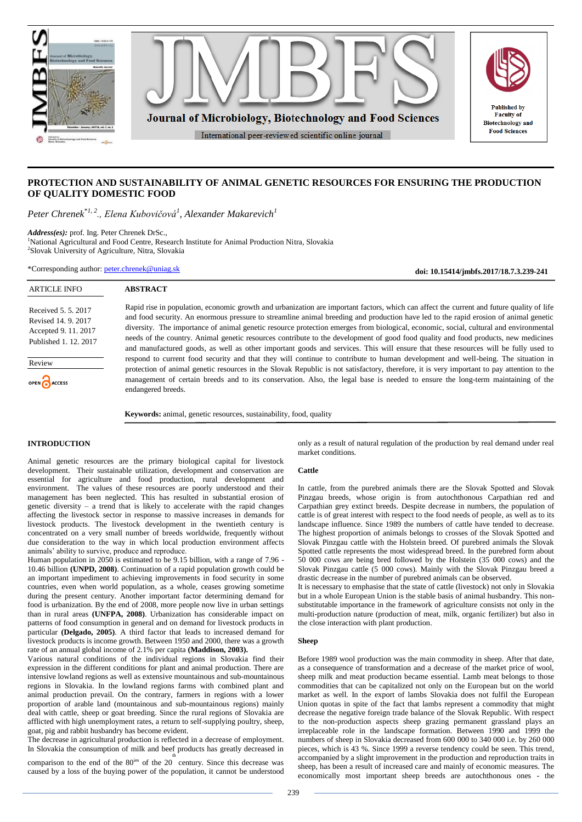

# **PROTECTION AND SUSTAINABILITY OF ANIMAL GENETIC RESOURCES FOR ENSURING THE PRODUCTION OF QUALITY DOMESTIC FOOD**

*Peter Chrenek*\**1, 2., Elena Kubovičová<sup>1</sup> , Alexander Makarevich<sup>1</sup>*

**ABSTRACT**

*Address(es):* prof. Ing. Peter Chrenek DrSc.,

<sup>1</sup>National Agricultural and Food Centre, Research Institute for Animal Production Nitra, Slovakia 2 Slovak University of Agriculture, Nitra, Slovakia

\*Corresponding author: [peter.chrenek@uniag.sk](mailto:peter.chrenek@uniag.sk)

**doi: 10.15414/jmbfs.2017/18.7.3.239-241**

Received 5. 5. 2017 Revised 14. 9. 2017 Accepted 9. 11. 2017 Published 1. 12. 2017

ARTICLE INFO

Review

OPEN CACCESS

Rapid rise in population, economic growth and urbanization are important factors, which can affect the current and future quality of life and food security. An enormous pressure to streamline animal breeding and production have led to the rapid erosion of animal genetic diversity. The importance of animal genetic resource protection emerges from biological, economic, social, cultural and environmental needs of the country. Animal genetic resources contribute to the development of good food quality and food products, new medicines and manufactured goods, as well as other important goods and services. This will ensure that these resources will be fully used to respond to current food security and that they will continue to contribute to human development and well-being. The situation in protection of animal genetic resources in the Slovak Republic is not satisfactory, therefore, it is very important to pay attention to the management of certain breeds and to its conservation. Also, the legal base is needed to ensure the long-term maintaining of the endangered breeds.

**Keywords:** animal, genetic resources, sustainability, food, quality

## **INTRODUCTION**

Animal genetic resources are the primary biological capital for livestock development. Their sustainable utilization, development and conservation are essential for agriculture and food production, rural development and environment. The values of these resources are poorly understood and their management has been neglected. This has resulted in substantial erosion of genetic diversity – a trend that is likely to accelerate with the rapid changes affecting the livestock sector in response to massive increases in demands for livestock products. The livestock development in the twentieth century is concentrated on a very small number of breeds worldwide, frequently without due consideration to the way in which local production environment affects animals' ability to survive, produce and reproduce.

Human population in 2050 is estimated to be 9.15 billion, with a range of 7.96 - 10.46 billion **[\(UNPD, 2008\)](../../../../../../../../../AppData/PublikÃ¡cie/Chrenek%20a%20kol.%20marec%202017/Livestock%20production%20%20recent%20trends,%20future%20prospects%20_%20Philosophical%20Transactions%20of%20the%20Royal%20Society%20B%20%20Biological%20Sciences.htm#ref-62)**. Continuation of a rapid population growth could be an important impediment to achieving improvements in food security in some countries, even when world population, as a whole, ceases growing sometime during the present century. Another important factor determining demand for food is urbanization. By the end of 2008, more people now live in urban settings than in rural areas **[\(UNFPA, 2008\)](../../../../../../../../../AppData/PublikÃ¡cie/Chrenek%20a%20kol.%20marec%202017/Livestock%20production%20%20recent%20trends,%20future%20prospects%20_%20Philosophical%20Transactions%20of%20the%20Royal%20Society%20B%20%20Biological%20Sciences.htm#ref-61)**. Urbanization has considerable impact on patterns of food consumption in general and on demand for livestock products in particular **[\(Delgado, 2005\)](../../../../../../../../../AppData/PublikÃ¡cie/Chrenek%20a%20kol.%20marec%202017/Livestock%20production%20%20recent%20trends,%20future%20prospects%20_%20Philosophical%20Transactions%20of%20the%20Royal%20Society%20B%20%20Biological%20Sciences.htm#ref-8)**. A third factor that leads to increased demand for livestock products is income growth. Between 1950 and 2000, there was a growth rate of an annual global income of 2.1% per capita **[\(Maddison, 2003](../../../../../../../../../AppData/PublikÃ¡cie/Chrenek%20a%20kol.%20marec%202017/Livestock%20production%20%20recent%20trends,%20future%20prospects%20_%20Philosophical%20Transactions%20of%20the%20Royal%20Society%20B%20%20Biological%20Sciences.htm#ref-35)).**

Various natural conditions of the individual regions in Slovakia find their expression in the different conditions for plant and animal production. There are intensive lowland regions as well as extensive mountainous and sub-mountainous regions in Slovakia. In the lowland regions farms with combined plant and animal production prevail. On the contrary, farmers in regions with a lower proportion of arable land (mountainous and sub-mountainous regions) mainly deal with cattle, sheep or goat breeding. Since the rural regions of Slovakia are afflicted with high unemployment rates, a return to self-supplying poultry, sheep, goat, pig and rabbit husbandry has become evident.

The decrease in agricultural production is reflected in a decrease of employment. In Slovakia the consumption of milk and beef products has greatly decreased in

comparison to the end of the  $80^{\text{ies}}$  of the 20 century. Since this decrease was caused by a loss of the buying power of the population, it cannot be understood

only as a result of natural regulation of the production by real demand under real market conditions.

#### **Cattle**

In cattle, from the purebred animals there are the Slovak Spotted and Slovak Pinzgau breeds, whose origin is from autochthonous Carpathian red and Carpathian grey extinct breeds. Despite decrease in numbers, the population of cattle is of great interest with respect to the food needs of people, as well as to its landscape influence. Since 1989 the numbers of cattle have tended to decrease. The highest proportion of animals belongs to crosses of the Slovak Spotted and Slovak Pinzgau cattle with the Holstein breed. Of purebred animals the Slovak Spotted cattle represents the most widespread breed. In the purebred form about 50 000 cows are being bred followed by the Holstein (35 000 cows) and the Slovak Pinzgau cattle (5 000 cows). Mainly with the Slovak Pinzgau breed a drastic decrease in the number of purebred animals can be observed.

It is necessary to emphasise that the state of cattle (livestock) not only in Slovakia but in a whole European Union is the stable basis of animal husbandry. This nonsubstitutable importance in the framework of agriculture consists not only in the multi-production nature (production of meat, milk, organic fertilizer) but also in the close interaction with plant production.

#### **Sheep**

Before 1989 wool production was the main commodity in sheep. After that date, as a consequence of transformation and a decrease of the market price of wool, sheep milk and meat production became essential. Lamb meat belongs to those commodities that can be capitalized not only on the European but on the world market as well. In the export of lambs Slovakia does not fulfil the European Union quotas in spite of the fact that lambs represent a commodity that might decrease the negative foreign trade balance of the Slovak Republic. With respect to the non-production aspects sheep grazing permanent grassland plays an irreplaceable role in the landscape formation. Between 1990 and 1999 the numbers of sheep in Slovakia decreased from 600 000 to 340 000 i.e. by 260 000 pieces, which is 43 %. Since 1999 a reverse tendency could be seen. This trend, accompanied by a slight improvement in the production and reproduction traits in sheep, has been a result of increased care and mainly of economic measures. The economically most important sheep breeds are autochthonous ones - the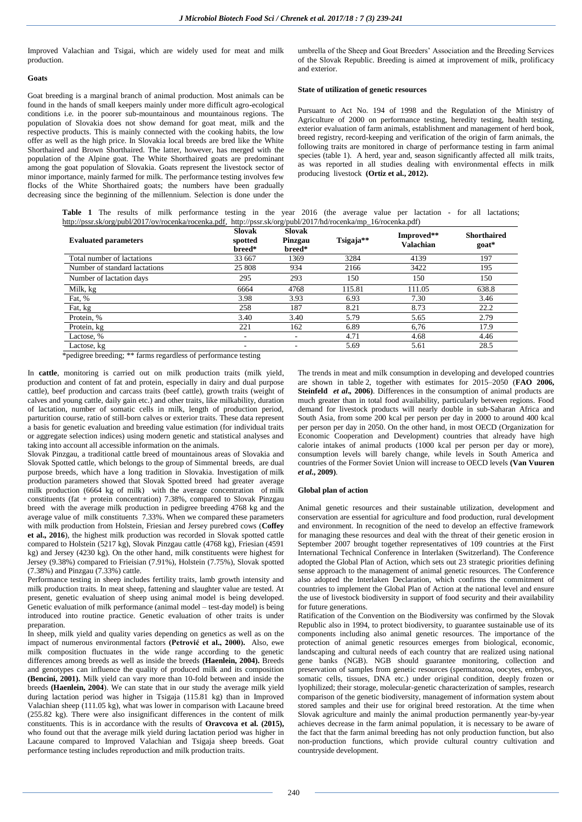Improved Valachian and Tsigai, which are widely used for meat and milk production.

#### **Goats**

Goat breeding is a marginal branch of animal production. Most animals can be found in the hands of small keepers mainly under more difficult agro-ecological conditions i.e. in the poorer sub-mountainous and mountainous regions. The population of Slovakia does not show demand for goat meat, milk and the respective products. This is mainly connected with the cooking habits, the low offer as well as the high price. In Slovakia local breeds are bred like the White Shorthaired and Brown Shorthaired. The latter, however, has merged with the population of the Alpine goat. The White Shorthaired goats are predominant among the goat population of Slovakia. Goats represent the livestock sector of minor importance, mainly farmed for milk. The performance testing involves few flocks of the White Shorthaired goats; the numbers have been gradually decreasing since the beginning of the millennium. Selection is done under the

umbrella of the Sheep and Goat Breeders' Association and the Breeding Services of the Slovak Republic. Breeding is aimed at improvement of milk, prolificacy and exterior.

### **State of utilization of genetic resources**

Pursuant to Act No. 194 of 1998 and the Regulation of the Ministry of Agriculture of 2000 on performance testing, heredity testing, health testing, exterior evaluation of farm animals, establishment and management of herd book, breed registry, record-keeping and verification of the origin of farm animals, the following traits are monitored in charge of performance testing in farm animal species (table 1). A herd, year and, season significantly affected all milk traits, as was reported in all studies dealing with environmental effects in milk producing livestock **(Ortiz et al., 2012).**

Table 1 The results of milk performance testing in the year 2016 (the average value per lactation - for all lactations; [http://pssr.sk/org/publ/2017/ov/rocenka/rocenka.pdf,](http://pssr.sk/org/publ/2017/ov/rocenka/rocenka.pdf) http://pssr.sk/org/publ/2017/hd/rocenka/mp\_16/rocenka.pdf)

| <b>Evaluated parameters</b>   | <b>Slovak</b><br>spotted<br>breed* | <b>Slovak</b><br>Pinzgau<br>breed* | Tsigaja** | Improved**<br><b>Valachian</b> | <b>Shorthaired</b><br>goat* |
|-------------------------------|------------------------------------|------------------------------------|-----------|--------------------------------|-----------------------------|
| Total number of lactations    | 33 667                             | 1369                               | 3284      | 4139                           | 197                         |
| Number of standard lactations | 25 808                             | 934                                | 2166      | 3422                           | 195                         |
| Number of lactation days      | 295                                | 293                                | 150       | 150                            | 150                         |
| Milk, kg                      | 6664                               | 4768                               | 115.81    | 111.05                         | 638.8                       |
| Fat, %                        | 3.98                               | 3.93                               | 6.93      | 7.30                           | 3.46                        |
| Fat, kg                       | 258                                | 187                                | 8.21      | 8.73                           | 22.2                        |
| Protein, %                    | 3.40                               | 3.40                               | 5.79      | 5.65                           | 2.79                        |
| Protein, kg                   | 221                                | 162                                | 6.89      | 6,76                           | 17.9                        |
| Lactose, %                    | ۰                                  | ٠                                  | 4.71      | 4.68                           | 4.46                        |
| Lactose, kg                   | ۰                                  | ۰                                  | 5.69      | 5.61                           | 28.5                        |

\*pedigree breeding; \*\* farms regardless of performance testing

In **cattle**, monitoring is carried out on milk production traits (milk yield, production and content of fat and protein, especially in dairy and dual purpose cattle), beef production and carcass traits (beef cattle), growth traits (weight of calves and young cattle, daily gain etc.) and other traits, like milkability, duration of lactation, number of somatic cells in milk, length of production period, parturition course, ratio of still-born calves or exterior traits. These data represent a basis for genetic evaluation and breeding value estimation (for individual traits or aggregate selection indices) using modern genetic and statistical analyses and taking into account all accessible information on the animals.

Slovak Pinzgau, a traditional cattle breed of mountainous areas of Slovakia and Slovak Spotted cattle, which belongs to the group of Simmental breeds, are dual purpose breeds, which have a long tradition in Slovakia. Investigation of milk production parameters showed that Slovak Spotted breed had greater average milk production (6664 kg of milk) with the average concentration of milk constituents (fat + protein concentration)  $7.38\%$ , compared to Slovak Pinzgau breed with the average milk production in pedigree breeding 4768 kg and the average value of milk constituents 7.33%. When we compared these parameters with milk production from Holstein, Friesian and Jersey purebred cows (**Coffey et al., 2016**), the highest milk production was recorded in Slovak spotted cattle compared to Holstein (5217 kg), Slovak Pinzgau cattle (4768 kg), Friesian (4591 kg) and Jersey (4230 kg). On the other hand, milk constituents were highest for Jersey (9.38%) compared to Frieisian (7.91%), Holstein (7.75%), Slovak spotted (7.38%) and Pinzgau (7.33%) cattle.

Performance testing in sheep includes fertility traits, lamb growth intensity and milk production traits. In meat sheep, fattening and slaughter value are tested. At present, genetic evaluation of sheep using animal model is being developed. Genetic evaluation of milk performance (animal model – test-day model) is being introduced into routine practice. Genetic evaluation of other traits is under preparation.

In sheep, milk yield and quality varies depending on genetics as well as on the impact of numerous environmental factors **(Petrović et al., 2000).** Also, ewe milk composition fluctuates in the wide range according to the genetic differences among breeds as well as inside the breeds **(Haenlein, 2004).** Breeds and genotypes can influence the quality of produced milk and its composition **(Bencini, 2001).** Milk yield can vary more than 10-fold between and inside the breeds **(Haenlein, 2004**). We can state that in our study the average milk yield during lactation period was higher in Tsigaja (115.81 kg) than in Improved Valachian sheep (111.05 kg), what was lower in comparison with Lacaune breed (255.82 kg). There were also insignificant differences in the content of milk constituents. This is in accordance with the results of **Oravcova et al. (2015),** who found out that the average milk yield during lactation period was higher in Lacaune compared to Improved Valachian and Tsigaja sheep breeds. Goat performance testing includes reproduction and milk production traits.

The trends in meat and milk consumption in developing and developed countries are shown in table 2, together with estimates for 2015–2050 (**FAO 2006, Steinfeld** *et al***.***,* **2006)**. Differences in the consumption of animal products are much greater than in total food availability, particularly between regions. Food demand for livestock products will nearly double in sub-Saharan Africa and South Asia, from some 200 kcal per person per day in 2000 to around 400 kcal per person per day in 2050. On the other hand, in most OECD (Organization for Economic Cooperation and Development) countries that already have high calorie intakes of animal products (1000 kcal per person per day or more), consumption levels will barely change, while levels in South America and countries of the Former Soviet Union will increase to OECD levels **(Van Vuuren**  *et al***., 2009)**.

## **Global plan of action**

Animal genetic resources and their sustainable utilization, development and conservation are essential for agriculture and food production, rural development and environment. In recognition of the need to develop an effective framework for managing these resources and deal with the threat of their genetic erosion in September 2007 brought together representatives of 109 countries at the First International Technical Conference in Interlaken (Switzerland). The Conference adopted the Global Plan of Action, which sets out 23 strategic priorities defining sense approach to the management of animal genetic resources. The Conference also adopted the Interlaken Declaration, which confirms the commitment of countries to implement the Global Plan of Action at the national level and ensure the use of livestock biodiversity in support of food security and their availability for future generations.

Ratification of the Convention on the Biodiversity was confirmed by the Slovak Republic also in 1994, to protect biodiversity, to guarantee sustainable use of its components including also animal genetic resources. The importance of the protection of animal genetic resources emerges from biological, economic, landscaping and cultural needs of each country that are realized using national gene banks (NGB). NGB should guarantee monitoring, collection and preservation of samples from genetic resources (spermatozoa, oocytes, embryos, somatic cells, tissues, DNA etc.) under original condition, deeply frozen or lyophilized; their storage, molecular-genetic characterization of samples, research comparison of the genetic biodiversity, management of information system about stored samples and their use for original breed restoration. At the time when Slovak agriculture and mainly the animal production permanently year-by-year achieves decrease in the farm animal population, it is necessary to be aware of the fact that the farm animal breeding has not only production function, but also non-production functions, which provide cultural country cultivation and countryside development.